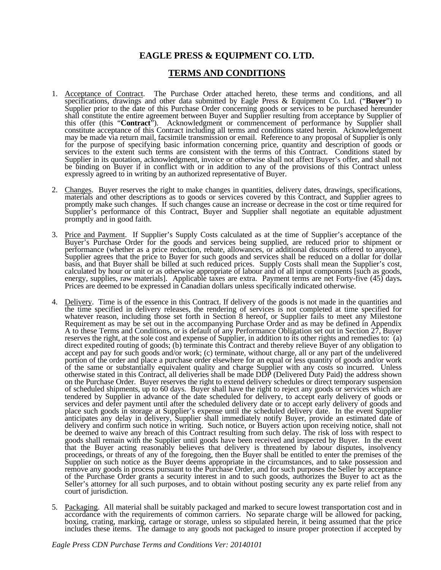## **EAGLE PRESS & EQUIPMENT CO. LTD.**

## **TERMS AND CONDITIONS**

- 1. Acceptance of Contract. The Purchase Order attached hereto, these terms and conditions, and all specifications, drawings and other data submitted by Eagle Press & Equipment Co. Ltd. ("**Buyer**") to Supplier prior to the date of this Purchase Order concerning goods or services to be purchased hereunder shall constitute the entire agreement between Buyer and Supplier resulting from acceptance by Supplier of this offer (this "**Contract**"). Acknowledgment or commencement of performance by Supplier shall constitute acceptance of this Contract including all terms and conditions stated herein. Acknowledgement may be made via return mail, facsimile transmission or email. Reference to any proposal of Supplier is only for the purpose of specifying basic information concerning price, quantity and description of goods or services to the extent such terms are consistent with the terms of this Contract. Conditions stated by Supplier in its quotation, acknowledgment, invoice or otherwise shall not affect Buyer's offer, and shall not be binding on Buyer if in conflict with or in addition to any of the provisions of this Contract unless expressly agreed to in writing by an authorized representative of Buyer.
- 2. Changes. Buyer reserves the right to make changes in quantities, delivery dates, drawings, specifications, materials and other descriptions as to goods or services covered by this Contract, and Supplier agrees to promptly make such changes. If such changes cause an increase or decrease in the cost or time required for Supplier's performance of this Contract, Buyer and Supplier shall negotiate an equitable adjustment promptly and in good faith.
- 3. Price and Payment. If Supplier's Supply Costs calculated as at the time of Supplier's acceptance of the Buyer's Purchase Order for the goods and services being supplied, are reduced prior to shipment or performance (whether as a price reduction, rebate, allowances, or additional discounts offered to anyone), Supplier agrees that the price to Buyer for such goods and services shall be reduced on a dollar for dollar basis, and that Buyer shall be billed at such reduced prices. Supply Costs shall mean the Supplier's cost, calculated by hour or unit or as otherwise appropriate of labour and of all input components [such as goods, energy, supplies, raw materials]. Applicable taxes are extra. Payment terms are net Forty-five (45) days**.** Prices are deemed to be expressed in Canadian dollars unless specifically indicated otherwise.
- 4. Delivery. Time is of the essence in this Contract. If delivery of the goods is not made in the quantities and the time specified in delivery releases, the rendering of services is not completed at time specified for whatever reason, including those set forth in Section 8 hereof, or Supplier fails to meet any Milestone Requirement as may be set out in the accompanying Purchase Order and as may be defined in Appendix A to these Terms and Conditions, or is default of any Performance Obligation set out in Section 27, Buyer reserves the right, at the sole cost and expense of Supplier, in addition to its other rights and remedies to: (a) direct expedited routing of goods; (b) terminate this Contract and thereby relieve Buyer of any obligation to accept and pay for such goods and/or work; (c) terminate, without charge, all or any part of the undelivered portion of the order and place a purchase order elsewhere for an equal or less quantity of goods and/or work of the same or substantially equivalent quality and charge Supplier with any costs so incurred. Unless otherwise stated in this Contract, all deliveries shall be made DDP (Delivered Duty Paid) the address shown on the Purchase Order. Buyer reserves the right to extend delivery schedules or direct temporary suspension of scheduled shipments, up to 60 days. Buyer shall have the right to reject any goods or services which are tendered by Supplier in advance of the date scheduled for delivery, to accept early delivery of goods or services and defer payment until after the scheduled delivery date or to accept early delivery of goods and place such goods in storage at Supplier's expense until the scheduled delivery date. In the event Supplier anticipates any delay in delivery, Supplier shall immediately notify Buyer, provide an estimated date of delivery and confirm such notice in writing. Such notice, or Buyers action upon receiving notice, shall not be deemed to waive any breach of this Contract resulting from such delay. The risk of loss with respect to goods shall remain with the Supplier until goods have been received and inspected by Buyer. In the event that the Buyer acting reasonably believes that delivery is threatened by labour disputes, insolvency proceedings, or threats of any of the foregoing, then the Buyer shall be entitled to enter the premises of the Supplier on such notice as the Buyer deems appropriate in the circumstances, and to take possession and remove any goods in process pursuant to the Purchase Order, and for such purposes the Seller by acceptance of the Purchase Order grants a security interest in and to such goods, authorizes the Buyer to act as the Seller's attorney for all such purposes, and to obtain without posting security any ex parte relief from any court of jurisdiction.
- 5. Packaging. All material shall be suitably packaged and marked to secure lowest transportation cost and in accordance with the requirements of common carriers. No separate charge will be allowed for packing, boxing, crating, marking, cartage or storage, unless so stipulated herein, it being assumed that the price includes these items. The damage to any goods not packaged to insure proper protection if accepted by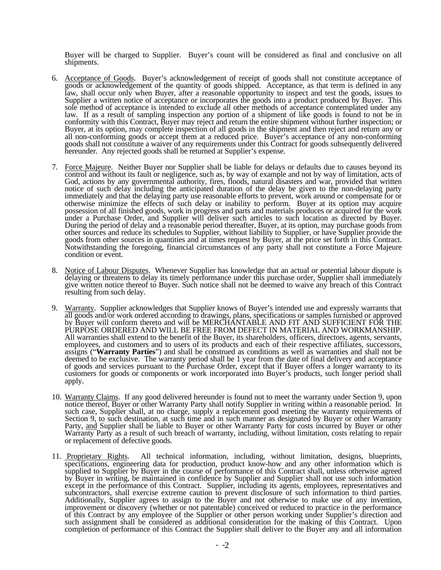Buyer will be charged to Supplier. Buyer's count will be considered as final and conclusive on all shipments.

- 6. Acceptance of Goods. Buyer's acknowledgement of receipt of goods shall not constitute acceptance of goods or acknowledgement of the quantity of goods shipped. Acceptance, as that term is defined in any law, shall occur only when Buyer, after a reasonable opportunity to inspect and test the goods, issues to Supplier a written notice of acceptance or incorporates the goods into a product produced by Buyer. This sole method of acceptance is intended to exclude all other methods of acceptance contemplated under any law. If as a result of sampling inspection any portion of a shipment of like goods is found to not be in conformity with this Contract, Buyer may reject and return the entire shipment without further inspection; or Buyer, at its option, may complete inspection of all goods in the shipment and then reject and return any or all non-conforming goods or accept them at a reduced price. Buyer's acceptance of any non-conforming goods shall not constitute a waiver of any requirements under this Contract for goods subsequently delivered hereunder. Any rejected goods shall be returned at Supplier's expense.
- 7. Force Majeure. Neither Buyer nor Supplier shall be liable for delays or defaults due to causes beyond its control and without its fault or negligence, such as, by way of example and not by way of limitation, acts of God, actions by any governmental authority, fires, floods, natural disasters and war, provided that written notice of such delay including the anticipated duration of the delay be given to the non-delaying party immediately and that the delaying party use reasonable efforts to prevent, work around or compensate for or otherwise minimize the effects of such delay or inability to perform. Buyer at its option may acquire possession of all finished goods, work in progress and parts and materials produces or acquired for the work under a Purchase Order, and Supplier will deliver such articles to such location as directed by Buyer. During the period of delay and a reasonable period thereafter, Buyer, at its option, may purchase goods from other sources and reduce its schedules to Supplier, without liability to Supplier, or have Supplier provide the goods from other sources in quantities and at times request by Buyer, at the price set forth in this Contract. Notwithstanding the foregoing, financial circumstances of any party shall not constitute a Force Majeure condition or event.
- 8. Notice of Labour Disputes. Whenever Supplier has knowledge that an actual or potential labour dispute is delaying or threatens to delay its timely performance under this purchase order, Supplier shall immediately give written notice thereof to Buyer. Such notice shall not be deemed to waive any breach of this Contract resulting from such delay.
- 9. Warranty. Supplier acknowledges that Supplier knows of Buyer's intended use and expressly warrants that all goods and/or work ordered according to drawings, plans, specifications or samples furnished or approved by Buyer will conform thereto and will be MERCHANTABLE AND FIT AND SUFFICIENT FOR THE PURPOSE ORDERED AND WILL BE FREE FROM DEFECT IN MATERIAL AND WORKMANSHIP. All warranties shall extend to the benefit of the Buyer, its shareholders, officers, directors, agents, servants, employees, and customers and to users of its products and each of their respective affiliates, successors, assigns ("**Warranty Parties**") and shall be construed as conditions as well as warranties and shall not be deemed to be exclusive. The warranty period shall be 1 year from the date of final delivery and acceptance of goods and services pursuant to the Purchase Order, except that if Buyer offers a longer warranty to its customers for goods or components or work incorporated into Buyer's products, such longer period shall apply.
- 10. Warranty Claims. If any good delivered hereunder is found not to meet the warranty under Section 9, upon notice thereof, Buyer or other Warranty Party shall notify Supplier in writing within a reasonable period. In such case, Supplier shall, at no charge, supply a replacement good meeting the warranty requirements of Section 9, to such destination, at such time and in such manner as designated by Buyer or other Warranty Party, and Supplier shall be liable to Buyer or other Warranty Party for costs incurred by Buyer or other Warranty Party as a result of such breach of warranty, including, without limitation, costs relating to repair or replacement of defective goods.
- 11. Proprietary Rights. All technical information, including, without limitation, designs, blueprints, specifications, engineering data for production, product know-how and any other information which is supplied to Supplier by Buyer in the course of performance of this Contract shall, unless otherwise agreed by Buyer in writing, be maintained in confidence by Supplier and Supplier shall not use such information except in the performance of this Contract. Supplier, including its agents, employees, representatives and subcontractors, shall exercise extreme caution to prevent disclosure of such information to third parties. Additionally, Supplier agrees to assign to the Buyer and not otherwise to make use of any invention, improvement or discovery (whether or not patentable) conceived or reduced to practice in the performance of this Contract by any employee of the Supplier or other person working under Supplier's direction and such assignment shall be considered as additional consideration for the making of this Contract. Upon completion of performance of this Contract the Supplier shall deliver to the Buyer any and all information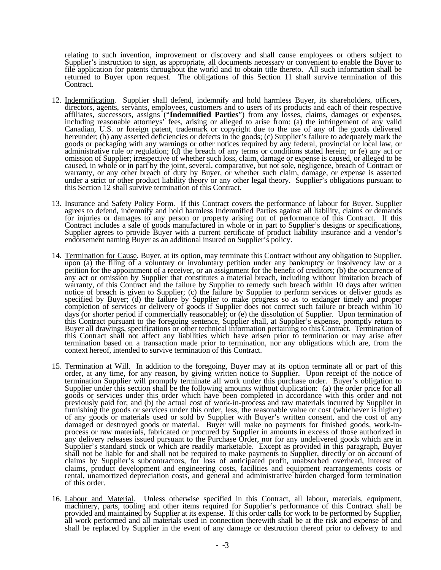relating to such invention, improvement or discovery and shall cause employees or others subject to Supplier's instruction to sign, as appropriate, all documents necessary or convenient to enable the Buyer to file application for patents throughout the world and to obtain title thereto. All such information shall be returned to Buyer upon request. The obligations of this Section 11 shall survive termination of this Contract.

- 12. Indemnification. Supplier shall defend, indemnify and hold harmless Buyer, its shareholders, officers, directors, agents, servants, employees, customers and to users of its products and each of their respective affiliates, successors, assigns ("**Indemnified Parties**") from any losses, claims, damages or expenses, including reasonable attorneys' fees, arising or alleged to arise from: (a) the infringement of any valid Canadian, U.S. or foreign patent, trademark or copyright due to the use of any of the goods delivered hereunder; (b) any asserted deficiencies or defects in the goods; (c) Supplier's failure to adequately mark the goods or packaging with any warnings or other notices required by any federal, provincial or local law, or administrative rule or regulation; (d) the breach of any terms or conditions stated herein; or (e) any act or omission of Supplier; irrespective of whether such loss, claim, damage or expense is caused, or alleged to be caused, in whole or in part by the joint, several, comparative, but not sole, negligence, breach of Contract or warranty, or any other breach of duty by Buyer, or whether such claim, damage, or expense is asserted under a strict or other product liability theory or any other legal theory. Supplier's obligations pursuant to this Section 12 shall survive termination of this Contract.
- 13. Insurance and Safety Policy Form. If this Contract covers the performance of labour for Buyer, Supplier agrees to defend, indemnify and hold harmless Indemnified Parties against all liability, claims or demands for injuries or damages to any person or property arising out of performance of this Contract. If this Contract includes a sale of goods manufactured in whole or in part to Supplier's designs or specifications, Supplier agrees to provide Buyer with a current certificate of product liability insurance and a vendor's endorsement naming Buyer as an additional insured on Supplier's policy.
- 14. Termination for Cause. Buyer, at its option, may terminate this Contract without any obligation to Supplier, upon (a) the filing of a voluntary or involuntary petition under any bankruptcy or insolvency law or a petition for the appointment of a receiver, or an assignment for the benefit of creditors; (b) the occurrence of any act or omission by Supplier that constitutes a material breach, including without limitation breach of warranty, of this Contract and the failure by Supplier to remedy such breach within 10 days after written notice of breach is given to Supplier; (c) the failure by Supplier to perform services or deliver goods as specified by Buyer; (d) the failure by Supplier to make progress so as to endanger timely and proper completion of services or delivery of goods if Supplier does not correct such failure or breach within 10 days (or shorter period if commercially reasonable); or (e) the dissolution of Supplier. Upon termination of this Contract pursuant to the foregoing sentence, Supplier shall, at Supplier's expense, promptly return to Buyer all drawings, specifications or other technical information pertaining to this Contract. Termination of this Contract shall not affect any liabilities which have arisen prior to termination or may arise after termination based on a transaction made prior to termination, nor any obligations which are, from the context hereof, intended to survive termination of this Contract.
- 15. Termination at Will. In addition to the foregoing, Buyer may at its option terminate all or part of this order, at any time, for any reason, by giving written notice to Supplier. Upon receipt of the notice of termination Supplier will promptly terminate all work under this purchase order. Buyer's obligation to Supplier under this section shall be the following amounts without duplication: (a) the order price for all goods or services under this order which have been completed in accordance with this order and not previously paid for; and (b) the actual cost of work-in-process and raw materials incurred by Supplier in furnishing the goods or services under this order, less, the reasonable value or cost (whichever is higher) of any goods or materials used or sold by Supplier with Buyer's written consent, and the cost of any damaged or destroyed goods or material. Buyer will make no payments for finished goods, work-inprocess or raw materials, fabricated or procured by Supplier in amounts in excess of those authorized in any delivery releases issued pursuant to the Purchase Order, nor for any undelivered goods which are in Supplier's standard stock or which are readily marketable. Except as provided in this paragraph, Buyer shall not be liable for and shall not be required to make payments to Supplier, directly or on account of claims by Supplier's subcontractors, for loss of anticipated profit, unabsorbed overhead, interest of claims, product development and engineering costs, facilities and equipment rearrangements costs or rental, unamortized depreciation costs, and general and administrative burden charged form termination of this order.
- 16. Labour and Material. Unless otherwise specified in this Contract, all labour, materials, equipment, machinery, parts, tooling and other items required for Supplier's performance of this Contract shall be provided and maintained by Supplier at its expense. If this order calls for work to be performed by Supplier, all work performed and all materials used in connection therewith shall be at the risk and expense of and shall be replaced by Supplier in the event of any damage or destruction thereof prior to delivery to and